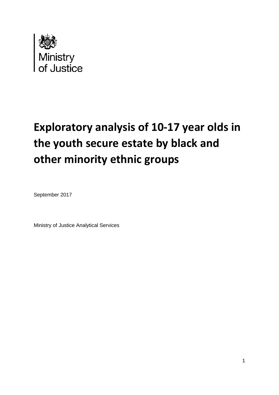

# **Exploratory analysis of 10-17 year olds in the youth secure estate by black and other minority ethnic groups**

September 2017

Ministry of Justice Analytical Services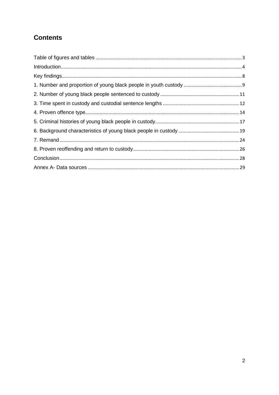# **Contents**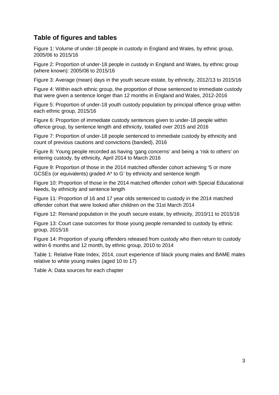## <span id="page-2-0"></span>**Table of figures and tables**

Figure 1: Volume of under-18 people in custody in England and Wales, by ethnic group, 2005/06 to 2015/16

Figure 2: Proportion of under-18 people in custody in England and Wales, by ethnic group (where known): 2005/06 to 2015/16

Figure 3: Average (mean) days in the youth secure estate, by ethnicity, 2012/13 to 2015/16

Figure 4: Within each ethnic group, the proportion of those sentenced to immediate custody that were given a sentence longer than 12 months in England and Wales, 2012-2016

Figure 5: Proportion of under-18 youth custody population by principal offence group within each ethnic group, 2015/16

Figure 6: Proportion of immediate custody sentences given to under-18 people within offence group, by sentence length and ethnicity, totalled over 2015 and 2016

Figure 7: Proportion of under-18 people sentenced to immediate custody by ethnicity and count of previous cautions and convictions (banded), 2016

Figure 8: Young people recorded as having 'gang concerns' and being a 'risk to others' on entering custody, by ethnicity, April 2014 to March 2016

Figure 9: Proportion of those in the 2014 matched offender cohort achieving '5 or more GCSEs (or equivalents) graded A\* to G' by ethnicity and sentence length

Figure 10: Proportion of those in the 2014 matched offender cohort with Special Educational Needs, by ethnicity and sentence length

Figure 11: Proportion of 16 and 17 year olds sentenced to custody in the 2014 matched offender cohort that were looked after children on the 31st March 2014

Figure 12: Remand population in the youth secure estate, by ethnicity, 2010/11 to 2015/16

Figure 13: Court case outcomes for those young people remanded to custody by ethnic group, 2015/16

Figure 14: Proportion of young offenders released from custody who then return to custody within 6 months and 12 month, by ethnic group, 2010 to 2014

Table 1: Relative Rate Index, 2014, court experience of black young males and BAME males relative to white young males (aged 10 to 17)

Table A: Data sources for each chapter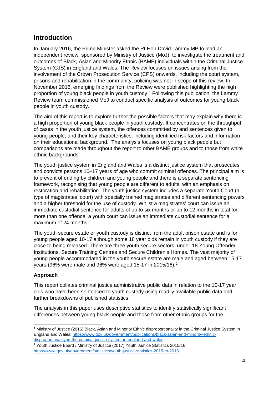## <span id="page-3-0"></span>**Introduction**

In January 2016, the Prime Minister asked the Rt Hon David Lammy MP to lead an independent review, sponsored by Ministry of Justice (MoJ), to investigate the treatment and outcomes of Black, Asian and Minority Ethnic (BAME) individuals within the Criminal Justice System (CJS) in England and Wales. The Review focuses on issues arising from the involvement of the Crown Prosecution Service (CPS) onwards, including the court system, prisons and rehabilitation in the community; policing was not in scope of this review. In November 2016, emerging findings from the Review were published highlighting the high proportion of young black people in youth custody.[1](#page-3-1) Following this publication, the Lammy Review team commissioned MoJ to conduct specific analysis of outcomes for young black people in youth custody.

The aim of this report is to explore further the possible factors that may explain why there is a high proportion of young black people in youth custody. It concentrates on the throughput of cases in the youth justice system, the offences committed by and sentences given to young people, and their key characteristics; including identified risk factors and information on their educational background. The analysis focuses on young black people but comparisons are made throughout the report to other BAME groups and to those from white ethnic backgrounds.

The youth justice system in England and Wales is a distinct justice system that prosecutes and convicts persons 10–17 years of age who commit criminal offences. The principal aim is to prevent offending by children and young people and there is a separate sentencing framework, recognising that young people are different to adults, with an emphasis on restoration and rehabilitation. The youth justice system includes a separate Youth Court (a type of magistrates' court) with specially trained magistrates and different sentencing powers and a higher threshold for the use of custody. Whilst a magistrates' court can issue an immediate custodial sentence for adults of up to six months or up to 12 months in total for more than one offence, a youth court can issue an immediate custodial sentence for a maximum of 24 months.

The youth secure estate or youth custody is distinct from the adult prison estate and is for young people aged 10-17 although some 18 year olds remain in youth custody if they are close to being released. There are three youth secure sectors: under-18 Young Offender Institutions, Secure Training Centres and Secure Children's Homes. The vast majority of young people accommodated in the youth secure estate are male and aged between 15-17 years (96% were male and 96% were aged 15-17 in 2015/16). [2](#page-3-2)

## **Approach**

This report collates criminal justice administrative public data in relation to the 10-17 year olds who have been sentenced to youth custody using readily available public data and further breakdowns of published statistics.

The analysis in this paper uses descriptive statistics to identify statistically significant differences between young black people and those from other ethnic groups for the

<span id="page-3-1"></span>**<sup>.</sup>** <sup>1</sup> Ministry of Justice (2016) Black, Asian and Minority Ethnic disproportionality in the Criminal Justice System in England and Wales: [https://www.gov.uk/government/publications/black-asian-and-minority-ethnic](https://www.gov.uk/government/publications/black-asian-and-minority-ethnic-disproportionality-in-the-criminal-justice-system-in-england-and-wales)[disproportionality-in-the-criminal-justice-system-in-england-and-wales](https://www.gov.uk/government/publications/black-asian-and-minority-ethnic-disproportionality-in-the-criminal-justice-system-in-england-and-wales)

<span id="page-3-2"></span><sup>&</sup>lt;sup>2</sup> Youth Justice Board / Ministry of Justice (2017) Youth Justice Statistics 2015/16: https://www.gov.uk/government/statistics/youth-justice-statistics-2015-to-2016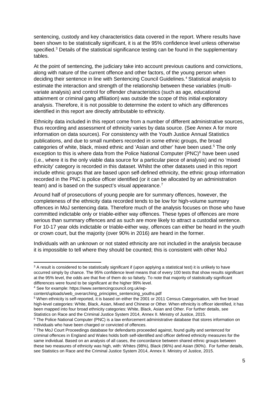sentencing, custody and key characteristics data covered in the report. Where results have been shown to be statistically significant, it is at the 95% confidence level unless otherwise specified.<sup>[3](#page-4-0)</sup> Details of the statistical significance testing can be found in the supplementary tables.

At the point of sentencing, the judiciary take into account previous cautions and convictions, along with nature of the current offence and other factors, of the young person when deciding their sentence in line with Sentencing Council Guidelines.<sup>[4](#page-4-1)</sup> Statistical analysis to estimate the interaction and strength of the relationship between these variables (multivariate analysis) and control for offender characteristics (such as age, educational attainment or criminal gang affiliation) was outside the scope of this initial exploratory analysis. Therefore, it is not possible to determine the extent to which any differences identified in this report are directly attributable to ethnicity.

Ethnicity data included in this report come from a number of different administrative sources, thus recording and assessment of ethnicity varies by data source. (See Annex A for more information on data sources). For consistency with the Youth Justice Annual Statistics publications, and due to small numbers recorded in some ethnic groups, the broad categories of white, black, mixed ethnic and 'Asian and other' have been used.<sup>[5](#page-4-2)</sup> The only exception to this is where data from the Police National Computer (PNC)<sup>[6](#page-4-3)</sup> have been used (i.e., where it is the only viable data source for a particular piece of analysis) and no 'mixed ethnicity' category is recorded in this dataset. Whilst the other datasets used in this report include ethnic groups that are based upon self-defined ethnicity, the ethnic group information recorded in the PNC is police officer identified (or it can be allocated by an administration team) and is based on the suspect's visual appearance.<sup>[7](#page-4-4)</sup>

Around half of prosecutions of young people are for summary offences, however, the completeness of the ethnicity data recorded tends to be low for high-volume summary offences in MoJ sentencing data. Therefore much of the analysis focuses on those who have committed indictable only or triable-either way offences. These types of offences are more serious than summary offences and as such are more likely to attract a custodial sentence. For 10-17 year olds indictable or triable-either way, offences can either be heard in the youth or crown court, but the majority (over 90% in 2016) are heard in the former.

Individuals with an unknown or not stated ethnicity are not included in the analysis because it is impossible to tell where they should be counted; this is consistent with other MoJ

<span id="page-4-0"></span><sup>&</sup>lt;sup>3</sup> A result is considered to be statistically significant if (upon applying a statistical test) it is unlikely to have occurred simply by chance. The 95% confidence level means that of every 100 tests that show results significant at the 95% level, the odds are that five of them do so falsely. To note that majority of statistically significant differences were found to be significant at the higher 99% level.<br><sup>4</sup> See for example: https://www.sentencingcouncil.org.uk/wp-

<span id="page-4-1"></span>

content/uploads/web\_overarching\_principles\_sentencing\_youths.pdf

<span id="page-4-2"></span><sup>5</sup> When ethnicity is self-reported, it is based on either the 2001 or 2011 Census Categorisation, with five broad high-level categories: White, Black, Asian, Mixed and Chinese or Other. When ethnicity is officer identified, it has been mapped into four broad ethnicity categories: White, Black, Asian and Other. For further details, see Statistics on Race and the Criminal Justice System 2014, Annex II. Ministry of Justice, 2015.

<span id="page-4-3"></span><sup>&</sup>lt;sup>6</sup> The Police National Computer (PNC) is a law enforcement administrative database that stores information on individuals who have been charged or convicted of offences.

<span id="page-4-4"></span><sup>7</sup> The MoJ Court Proceedings database for defendants proceeded against, found guilty and sentenced for criminal offences in England and Wales holds both self-identified and officer defined ethnicity measures for the same individual. Based on an analysis of all cases, the concordance between shared ethnic groups between these two measures of ethnicity was high, with: Whites (98%), Black (96%) and Asian (90%). For further details, see Statistics on Race and the Criminal Justice System 2014, Annex II. Ministry of Justice, 2015.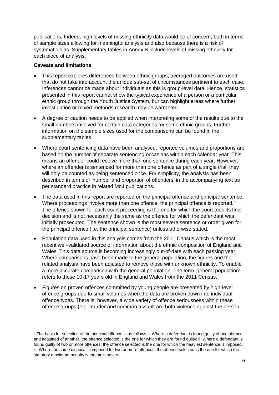publications. Indeed, high levels of missing ethnicity data would be of concern, both in terms of sample sizes allowing for meaningful analysis and also because there is a risk of systematic bias. Supplementary tables in Annex B include levels of missing ethnicity for each piece of analysis.

#### **Caveats and limitations**

- This report explores differences between ethnic groups; averaged outcomes are used that do not take into account the unique sub-set of circumstances pertinent to each case. Inferences cannot be made about individuals as this is group-level data. Hence, statistics presented in this report cannot show the typical experience of a person or a particular ethnic group through the Youth Justice System, but can highlight areas where further investigation or mixed-methods research may be warranted.
- A degree of caution needs to be applied when interpreting some of the results due to the small numbers involved for certain data categories for some ethnic groups. Further information on the sample sizes used for the comparisons can be found in the supplementary tables.
- Where court sentencing data have been analysed, reported volumes and proportions are based on the number of separate sentencing occasions within each calendar year. This means an offender could receive more than one sentence during each year. However, where an offender is sentenced for more than one offence as part of a single trial, they will only be counted as being sentenced once. For simplicity, the analysis has been described in terms of 'number and proportion of offenders' in the accompanying text as per standard practice in related MoJ publications.
- The data used in this report are reported on the principal offence and principal sentence. Where proceedings involve more than one offence, the principal offence is reported.<sup>[8](#page-5-0)</sup> The offence shown for each court proceeding is the one for which the court took its final decision and is not necessarily the same as the offence for which the defendant was initially prosecuted. The sentence shown is the most severe sentence or order given for the principal offence (i.e. the principal sentence) unless otherwise stated.
- Population data used in this analysis comes from the 2011 Census which is the most recent well-validated source of information about the ethnic composition of England and Wales. This data source is becoming increasingly out-of-date with each passing year. Where comparisons have been made to the general population, the figures and the related analysis have been adjusted to remove those with unknown ethnicity. To enable a more accurate comparison with the general population. The term 'general population' refers to those 10-17 years old in England and Wales from the 2011 Census.
- Figures on proven offences committed by young people are presented by high-level offence groups due to small volumes when the data are broken down into individual offence types. There is, however, a wide variety of offence seriousness within these offence groups (e.g. murder and common assault are both violence against the person

<span id="page-5-0"></span><sup>8</sup> The basis for selection of the principal offence is as follows: i. Where a defendant is found guilty of one offence and acquitted of another, the offence selected is the one for which they are found guilty; ii. Where a defendant is found guilty of two or more offences, the offence selected is the one for which the heaviest sentence is imposed; iii. Where the same disposal is imposed for two or more offences, the offence selected is the one for which the statutory maximum penalty is the most severe.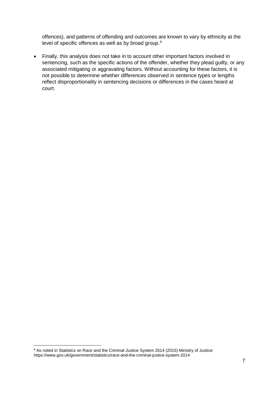offences), and patterns of offending and outcomes are known to vary by ethnicity at the level of specific offences as well as by broad group.<sup>[9](#page-6-0)</sup>

• Finally, this analysis does not take in to account other important factors involved in sentencing, such as the specific actions of the offender, whether they plead guilty, or any associated mitigating or aggravating factors. Without accounting for these factors, it is not possible to determine whether differences observed in sentence types or lengths reflect disproportionality in sentencing decisions or differences in the cases heard at court.

<span id="page-6-0"></span><sup>&</sup>lt;sup>9</sup> As noted in Statistics on Race and the Criminal Justice System 2014 (2015) Ministry of Justice: https://www.gov.uk/government/statistics/race-and-the-criminal-justice-system-2014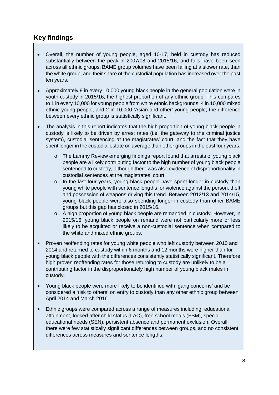## <span id="page-7-0"></span>**Key findings**

- Overall, the number of young people, aged 10-17, held in custody has reduced substantially between the peak in 2007/08 and 2015/16, and falls have been seen across all ethnic groups. BAME group volumes have been falling at a slower rate, than the white group, and their share of the custodial population has increased over the past ten years.
- Approximately 9 in every 10,000 young black people in the general population were in youth custody in 2015/16, the highest proportion of any ethnic group. This compares to 1 in every 10,000 for young people from white ethnic backgrounds, 4 in 10,000 mixed ethnic young people, and 2 in 10,000 'Asian and other' young people; the difference between every ethnic group is statistically significant.
- The analysis in this report indicates that the high proportion of young black people in custody is likely to be driven by arrest rates (i.e. the gateway to the criminal justice system), custodial sentencing at the magistrates' court, and the fact that they have spent longer in the custodial estate on average than other groups in the past four years.
	- o The Lammy Review emerging findings report found that arrests of young black people are a likely contributing factor to the high number of young black people sentenced to custody, although there was also evidence of disproportionality in custodial sentences at the magistrates' court.
	- o In the last four years, young black people have spent longer in custody than young white people with sentence lengths for violence against the person, theft and possession of weapons driving this trend. Between 2012/13 and 2014/15, young black people were also spending longer in custody than other BAME groups but this gap has closed in 2015/16.
	- o A high proportion of young black people are remanded in custody. However, in 2015/16, young black people on remand were not particularly more or less likely to be acquitted or receive a non-custodial sentence when compared to the white and mixed ethnic groups.
- Proven reoffending rates for young white people who left custody between 2010 and 2014 and returned to custody within 6 months and 12 months were higher than for young black people with the differences consistently statistically significant. Therefore high proven reoffending rates for those returning to custody are unlikely to be a contributing factor in the disproportionately high number of young black males in custody.
- Young black people were more likely to be identified with 'gang concerns' and be considered a 'risk to others' on entry to custody than any other ethnic group between April 2014 and March 2016.
- Ethnic groups were compared across a range of measures including: educational attainment, looked after child status (LAC), free school meals (FSM), special educational needs (SEN), persistent absence and permanent exclusion. Overall there were few statistically significant differences between groups, and no consistent differences across measures and sentence lengths.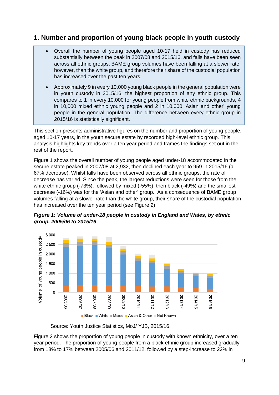## <span id="page-8-0"></span>**1. Number and proportion of young black people in youth custody**

- Overall the number of young people aged 10-17 held in custody has reduced substantially between the peak in 2007/08 and 2015/16, and falls have been seen across all ethnic groups. BAME group volumes have been falling at a slower rate, however, than the white group, and therefore their share of the custodial population has increased over the past ten years.
- Approximately 9 in every 10,000 young black people in the general population were in youth custody in 2015/16, the highest proportion of any ethnic group. This compares to 1 in every 10,000 for young people from white ethnic backgrounds, 4 in 10,000 mixed ethnic young people and 2 in 10,000 'Asian and other' young people in the general population. The difference between every ethnic group in 2015/16 is statistically significant.

This section presents administrative figures on the number and proportion of young people, aged 10-17 years, in the youth secure estate by recorded high-level ethnic group. This analysis highlights key trends over a ten year period and frames the findings set out in the rest of the report.

Figure 1 shows the overall number of young people aged under-18 accommodated in the secure estate peaked in 2007/08 at 2,932, then declined each year to 959 in 2015/16 (a 67% decrease). Whilst falls have been observed across all ethnic groups, the rate of decrease has varied. Since the peak, the largest reductions were seen for those from the white ethnic group (-73%), followed by mixed (-55%), then black (-49%) and the smallest decrease (-16%) was for the 'Asian and other' group. As a consequence of BAME group volumes falling at a slower rate than the white group, their share of the custodial population has increased over the ten year period (see Figure 2).



*Figure 1: Volume of under-18 people in custody in England and Wales, by ethnic group, 2005/06 to 2015/16*

Source: Youth Justice Statistics, MoJ/ YJB, 2015/16.

Figure 2 shows the proportion of young people in custody with known ethnicity, over a ten year period. The proportion of young people from a black ethnic group increased gradually from 13% to 17% between 2005/06 and 2011/12, followed by a step-increase to 22% in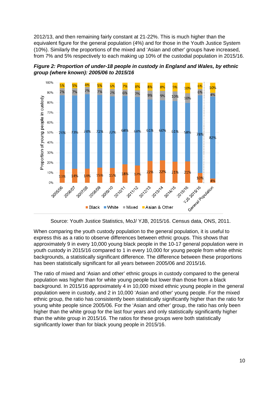2012/13, and then remaining fairly constant at 21-22%. This is much higher than the equivalent figure for the general population (4%) and for those in the Youth Justice System (10%). Similarly the proportions of the mixed and 'Asian and other' groups have increased, from 7% and 5% respectively to each making up 10% of the custodial population in 2015/16.





Source: Youth Justice Statistics, MoJ/ YJB, 2015/16. Census data, ONS, 2011.

When comparing the youth custody population to the general population, it is useful to express this as a ratio to observe differences between ethnic groups. This shows that approximately 9 in every 10,000 young black people in the 10-17 general population were in youth custody in 2015/16 compared to 1 in every 10,000 for young people from white ethnic backgrounds, a statistically significant difference. The difference between these proportions has been statistically significant for all years between 2005/06 and 2015/16.

The ratio of mixed and 'Asian and other' ethnic groups in custody compared to the general population was higher than for white young people but lower than those from a black background. In 2015/16 approximately 4 in 10,000 mixed ethnic young people in the general population were in custody, and 2 in 10,000 'Asian and other' young people. For the mixed ethnic group, the ratio has consistently been statistically significantly higher than the ratio for young white people since 2005/06. For the 'Asian and other' group, the ratio has only been higher than the white group for the last four years and only statistically significantly higher than the white group in 2015/16. The ratios for these groups were both statistically significantly lower than for black young people in 2015/16.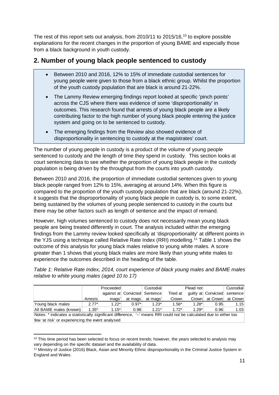The rest of this report sets out analysis, from 2010/11 to 2015/16, [10](#page-10-1) to explore possible explanations for the recent changes in the proportion of young BAME and especially those from a black background in youth custody.

## <span id="page-10-0"></span>**2. Number of young black people sentenced to custody**

- Between 2010 and 2016, 12% to 15% of immediate custodial sentences for young people were given to those from a black ethnic group. Whilst the proportion of the youth custody population that are black is around 21-22%.
- The Lammy Review emerging findings report looked at specific 'pinch points' across the CJS where there was evidence of some 'disproportionality' in outcomes. This research found that arrests of young black people are a likely contributing factor to the high number of young black people entering the justice system and going on to be sentenced to custody.
- The emerging findings from the Review also showed evidence of disproportionality in sentencing to custody at the magistrates' court.

The number of young people in custody is a product of the volume of young people sentenced to custody and the length of time they spend in custody. This section looks at court sentencing data to see whether the proportion of young black people in the custody population is being driven by the throughput from the courts into youth custody.

Between 2010 and 2016, the proportion of immediate custodial sentences given to young black people ranged from 12% to 15%, averaging at around 14%. When this figure is compared to the proportion of the youth custody population that are black (around 21-22%), it suggests that the disproportionality of young black people in custody is, to some extent, being sustained by the volumes of young people sentenced to custody in the courts but there may be other factors such as length of sentence and the impact of remand.

However, high volumes sentenced to custody does not necessarily mean young black people are being treated differently in court. The analysis included within the emerging findings from the Lammy review looked specifically at 'disproportionality' at different points in the YJS using a technique called Relative Rate Index (RRI) modelling.[11](#page-10-2) Table 1 shows the outcome of this analysis for young black males relative to young white males. A score greater than 1 shows that young black males are more likely than young white males to experience the outcomes described in the heading of the table.

*Table 1: Relative Rate Index, 2014, court experience of black young males and BAME males relative to white young males (aged 10 to 17)*

|                                                                                                                     |         | Proceeded |                               | Custodial |          | Plead not |                              | Custodial         |
|---------------------------------------------------------------------------------------------------------------------|---------|-----------|-------------------------------|-----------|----------|-----------|------------------------------|-------------------|
|                                                                                                                     |         |           | against at Convicted Sentence |           | Tried at |           | quilty at Convicted sentence |                   |
|                                                                                                                     | Arrests | mags'     | at mags                       | at mags'  | Crown    | Crown     |                              | at Crown at Crown |
| Young black males                                                                                                   | $2.77*$ | $1.22*$   | $0.97*$                       | $1.23*$   | $1.56*$  | $1.28*$   | 0.95                         | 1.15              |
| All BAME males (known)                                                                                              | $1.35*$ | $1.15*$   | 0.98                          | $1.21*$   | $172*$   | $1.29*$   | 0.96                         | 1.03              |
| Notes: $*$ indicates a statistically significant difference $-$ means RRI could not be calculated due to either too |         |           |                               |           |          |           |                              |                   |

Notes: \* indicates a statistically significant difference, '--' means RRI could not be calculated due to either too few 'at risk' or experiencing the event analysed

<span id="page-10-1"></span> $10$  This time period has been selected to focus on recent trends; however, the years selected to analysis may vary depending on the specific dataset and the availability of data.

<span id="page-10-2"></span><sup>11</sup> Ministry of Justice (2016) Black, Asian and Minority Ethnic disproportionality in the Criminal Justice System in England and Wales.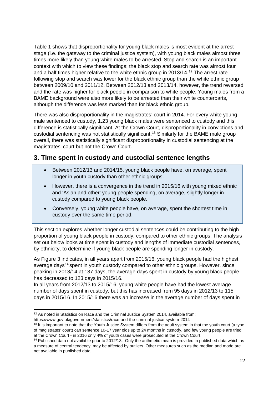Table 1 shows that disproportionality for young black males is most evident at the arrest stage (i.e. the gateway to the criminal justice system), with young black males almost three times more likely than young white males to be arrested. Stop and search is an important context with which to view these findings; the black stop and search rate was almost four and a half times higher relative to the white ethnic group in 2013/14.<sup>[12](#page-11-1)</sup> The arrest rate following stop and search was lower for the black ethnic group than the white ethnic group between 2009/10 and 2011/12. Between 2012/13 and 2013/14, however, the trend reversed and the rate was higher for black people in comparison to white people. Young males from a BAME background were also more likely to be arrested than their white counterparts, although the difference was less marked than for black ethnic group.

There was also disproportionality in the magistrates' court in 2014. For every white young male sentenced to custody, 1.23 young black males were sentenced to custody and this difference is statistically significant. At the Crown Court, disproportionality in convictions and custodial sentencing was not statistically significant.<sup>[13](#page-11-2)</sup> Similarly for the BAME male group overall, there was statistically significant disproportionality in custodial sentencing at the magistrates' court but not the Crown Court.

## <span id="page-11-0"></span>**3. Time spent in custody and custodial sentence lengths**

- Between 2012/13 and 2014/15, young black people have, on average, spent longer in youth custody than other ethnic groups.
- However, there is a convergence in the trend in 2015/16 with young mixed ethnic and 'Asian and other' young people spending, on average, slightly longer in custody compared to young black people.
- Conversely, young white people have, on average, spent the shortest time in custody over the same time period.

This section explores whether longer custodial sentences could be contributing to the high proportion of young black people in custody, compared to other ethnic groups. The analysis set out below looks at time spent in custody and lengths of immediate custodial sentences, by ethnicity, to determine if young black people are spending longer in custody.

As Figure 3 indicates, in all years apart from 2015/16, young black people had the highest average days<sup>[14](#page-11-3)</sup> spent in youth custody compared to other ethnic groups. However, since peaking in 2013/14 at 137 days, the average days spent in custody by young black people has decreased to 123 days in 2015/16.

In all years from 2012/13 to 2015/16, young white people have had the lowest average number of days spent in custody, but this has increased from 95 days in 2012/13 to 115 days in 2015/16. In 2015/16 there was an increase in the average number of days spent in

**<sup>.</sup>** <sup>12</sup> As noted in Statistics on Race and the Criminal Justice System 2014, available from:

<span id="page-11-1"></span>https://www.gov.uk/government/statistics/race-and-the-criminal-justice-system-2014

<span id="page-11-2"></span><sup>&</sup>lt;sup>13</sup> It is important to note that the Youth Justice System differs from the adult system in that the youth court (a type of magistrates' court) can sentence 10-17 year olds up to 24 months in custody, and few young people are tried at the Crown Court - in 2016 only 4% of youth cases were prosecuted at the Crown Court.

<span id="page-11-3"></span><sup>&</sup>lt;sup>14</sup> Published data not available prior to 2012/13. Only the arithmetic mean is provided in published data which as a measure of central tendency, may be affected by outliers. Other measures such as the median and mode are not available in published data.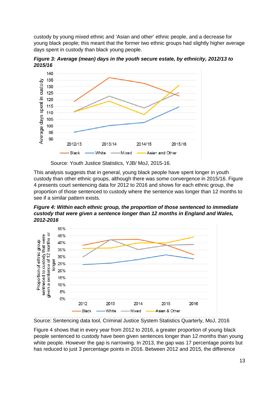custody by young mixed ethnic and 'Asian and other' ethnic people, and a decrease for young black people; this meant that the former two ethnic groups had slightly higher average days spent in custody than black young people.

*Figure 3: Average (mean) days in the youth secure estate, by ethnicity, 2012/13 to 2015/16*



Source: Youth Justice Statistics, YJB/ MoJ, 2015-16.

This analysis suggests that in general, young black people have spent longer in youth custody than other ethnic groups, although there was some convergence in 2015/16. Figure 4 presents court sentencing data for 2012 to 2016 and shows for each ethnic group, the proportion of those sentenced to custody where the sentence was longer than 12 months to see if a similar pattern exists.

*Figure 4: Within each ethnic group, the proportion of those sentenced to immediate custody that were given a sentence longer than 12 months in England and Wales, 2012-2016*



Source: Sentencing data tool, Criminal Justice System Statistics Quarterly, MoJ, 2016

Figure 4 shows that in every year from 2012 to 2016, a greater proportion of young black people sentenced to custody have been given sentences longer than 12 months than young white people. However the gap is narrowing. In 2013, the gap was 17 percentage points but has reduced to just 3 percentage points in 2016. Between 2012 and 2015, the difference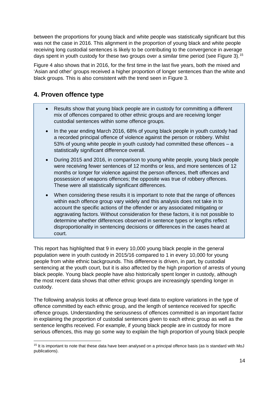between the proportions for young black and white people was statistically significant but this was not the case in 2016. This alignment in the proportion of young black and white people receiving long custodial sentences is likely to be contributing to the convergence in average days spent in youth custody for these two groups over a similar time period (see Figure 3).<sup>[15](#page-13-1)</sup>

Figure 4 also shows that in 2016, for the first time in the last five years, both the mixed and 'Asian and other' groups received a higher proportion of longer sentences than the white and black groups. This is also consistent with the trend seen in Figure 3.

# <span id="page-13-0"></span>**4. Proven offence type**

- Results show that young black people are in custody for committing a different mix of offences compared to other ethnic groups and are receiving longer custodial sentences within some offence groups.
- In the year ending March 2016, 68% of young black people in youth custody had a recorded principal offence of violence against the person or robbery. Whilst 53% of young white people in youth custody had committed these offences – a statistically significant difference overall.
- During 2015 and 2016, in comparison to young white people, young black people were receiving fewer sentences of 12 months or less, and more sentences of 12 months or longer for violence against the person offences, theft offences and possession of weapons offences; the opposite was true of robbery offences. These were all statistically significant differences.
- When considering these results it is important to note that the range of offences within each offence group vary widely and this analysis does not take in to account the specific actions of the offender or any associated mitigating or aggravating factors. Without consideration for these factors, it is not possible to determine whether differences observed in sentence types or lengths reflect disproportionality in sentencing decisions or differences in the cases heard at court.

This report has highlighted that 9 in every 10,000 young black people in the general population were in youth custody in 2015/16 compared to 1 in every 10,000 for young people from white ethnic backgrounds. This difference is driven, in part, by custodial sentencing at the youth court, but it is also affected by the high proportion of arrests of young black people. Young black people have also historically spent longer in custody, although the most recent data shows that other ethnic groups are increasingly spending longer in custody.

The following analysis looks at offence group level data to explore variations in the type of offence committed by each ethnic group, and the length of sentence received for specific offence groups. Understanding the seriousness of offences committed is an important factor in explaining the proportion of custodial sentences given to each ethnic group as well as the sentence lengths received. For example, if young black people are in custody for more serious offences, this may go some way to explain the high proportion of young black people

<span id="page-13-1"></span> $\overline{\phantom{a}}$ <sup>15</sup> It is important to note that these data have been analysed on a principal offence basis (as is standard with MoJ publications).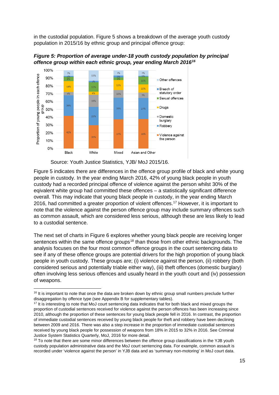in the custodial population. Figure 5 shows a breakdown of the average youth custody population in 2015/16 by ethnic group and principal offence group:



*Figure 5: Proportion of average under-18 youth custody population by principal offence group within each ethnic group, year ending March 2016[16](#page-14-0)*

**.** 

Figure 5 indicates there are differences in the offence group profile of black and white young people in custody. In the year ending March 2016, 42% of young black people in youth custody had a recorded principal offence of violence against the person whilst 30% of the eqivalent white group had committed these offences – a statistically significant difference overall. This may indicate that young black people in custody, in the year ending March 2016, had committed a greater proportion of violent offences. [17](#page-14-1) However, it is important to note that the violence against the person offence group may include summary offences such as common assault, which are considered less serious, although these are less likely to lead to a custodial sentence.

The next set of charts in Figure 6 explores whether young black people are receiving longer sentences within the same offence groups<sup>[18](#page-14-2)</sup> than those from other ethnic backgrounds. The analysis focuses on the four most common offence groups in the court sentencing data to see if any of these offence groups are potential drivers for the high proportion of young black people in youth custody. These groups are; (i) violence against the person, (ii) robbery (both considered serious and potentially triable either way), (iii) theft offences (domestic burglary) often involving less serious offences and usually heard in the youth court and (iv) possession of weapons.

Source: Youth Justice Statistics, YJB/ MoJ 2015/16.

<span id="page-14-0"></span><sup>&</sup>lt;sup>16</sup> It is important to note that once the data are broken down by ethnic group small numbers preclude further disaggregation by offence type (see Appendix B for supplementary tables).

<span id="page-14-1"></span><sup>&</sup>lt;sup>17</sup> It is interesting to note that MoJ court sentencing data indicates that for both black and mixed groups the proportion of custodial sentences received for violence against the person offences has been increasing since 2010, although the proportion of these sentences for young black people fell in 2016. In contrast, the proportion of immediate custodial sentences received by young black people for theft and robbery have been declining between 2009 and 2016. There was also a step increase in the proportion of immediate custodial sentences received by young black people for possession of weapons from 18% in 2015 to 32% in 2016. See Criminal Justice System Statistics Quarterly, MoJ, 2016 for more detail.<br><sup>18</sup> To note that there are some minor differences between the offence group classifications in the YJB youth

<span id="page-14-2"></span>custody population administrative data and the MoJ court sentencing data. For example, common assault is recorded under 'violence against the person' in YJB data and as 'summary non-motoring' in MoJ court data.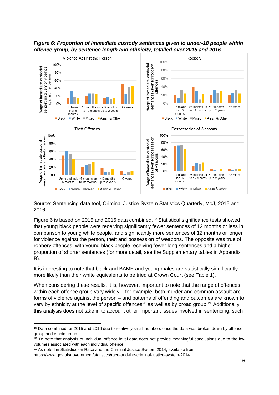

*Figure 6: Proportion of immediate custody sentences given to under-18 people within offence group, by sentence length and ethnicity, totalled over 2015 and 2016*

Source: Sentencing data tool, Criminal Justice System Statistics Quarterly, MoJ, 2015 and 2016

Figure 6 is based on 2015 and 2016 data combined. [19](#page-15-0) Statistical significance tests showed that young black people were receiving significantly fewer sentences of 12 months or less in comparison to young white people, and significantly more sentences of 12 months or longer for violence against the person, theft and possession of weapons. The opposite was true of robbery offences, with young black people receiving fewer long sentences and a higher proportion of shorter sentences (for more detail, see the Supplementary tables in Appendix B).

It is interesting to note that black and BAME and young males are statistically significantly more likely than their white equivalents to be tried at Crown Court (see Table 1).

When considering these results, it is, however, important to note that the range of offences within each offence group vary widely – for example, both murder and common assault are forms of violence against the person – and patterns of offending and outcomes are known to vary by ethnicity at the level of specific offences<sup>[20](#page-15-1)</sup> as well as by broad group.<sup>[21](#page-15-2)</sup> Additionally, this analysis does not take in to account other important issues involved in sentencing, such

**.** 

<span id="page-15-0"></span><sup>&</sup>lt;sup>19</sup> Data combined for 2015 and 2016 due to relatively small numbers once the data was broken down by offence group and ethnic group.

<span id="page-15-1"></span> $20$  To note that analysis of individual offence level data does not provide meaningful conclusions due to the low volumes associated with each individual offence.

<span id="page-15-2"></span><sup>&</sup>lt;sup>21</sup> As noted in Statistics on Race and the Criminal Justice System 2014, available from:

https://www.gov.uk/government/statistics/race-and-the-criminal-justice-system-2014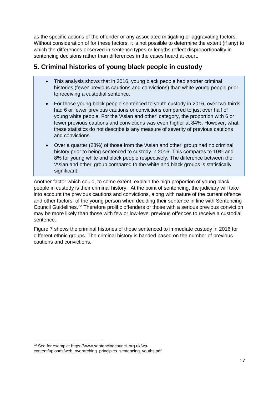as the specific actions of the offender or any associated mitigating or aggravating factors. Without consideration of for these factors, it is not possible to determine the extent (if any) to which the differences observed in sentence types or lengths reflect disproportionality in sentencing decisions rather than differences in the cases heard at court.

# <span id="page-16-0"></span>**5. Criminal histories of young black people in custody**

- This analysis shows that in 2016, young black people had shorter criminal histories (fewer previous cautions and convictions) than white young people prior to receiving a custodial sentence.
- For those young black people sentenced to youth custody in 2016, over two thirds had 6 or fewer previous cautions or convictions compared to just over half of young white people. For the 'Asian and other' category, the proportion with 6 or fewer previous cautions and convictions was even higher at 84%. However, what these statistics do not describe is any measure of severity of previous cautions and convictions.
- Over a quarter (28%) of those from the 'Asian and other' group had no criminal history prior to being sentenced to custody in 2016. This compares to 10% and 8% for young white and black people respectively. The difference between the 'Asian and other' group compared to the white and black groups is statistically significant.

Another factor which could, to some extent, explain the high proportion of young black people in custody is their criminal history. At the point of sentencing, the judiciary will take into account the previous cautions and convictions, along with nature of the current offence and other factors, of the young person when deciding their sentence in line with Sentencing Council Guidelines. [22](#page-16-1) Therefore prolific offenders or those with a serious previous conviction may be more likely than those with few or low-level previous offences to receive a custodial sentence.

Figure 7 shows the criminal histories of those sentenced to immediate custody in 2016 for different ethnic groups. The criminal history is banded based on the number of previous cautions and convictions.

<span id="page-16-1"></span><sup>22</sup> See for example: https://www.sentencingcouncil.org.uk/wp-

content/uploads/web\_overarching\_principles\_sentencing\_youths.pdf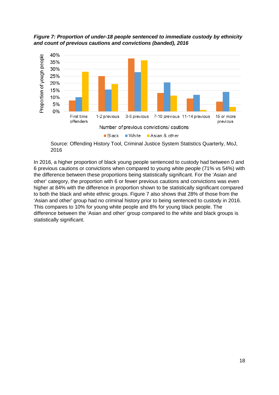*Figure 7: Proportion of under-18 people sentenced to immediate custody by ethnicity and count of previous cautions and convictions (banded), 2016*



Source: Offending History Tool, Criminal Justice System Statistics Quarterly, MoJ, 2016

In 2016, a higher proportion of black young people sentenced to custody had between 0 and 6 previous cautions or convictions when compared to young white people (71% vs 54%) with the difference between these proportions being statistically significant. For the 'Asian and other' category, the proportion with 6 or fewer previous cautions and convictions was even higher at 84% with the difference in proportion shown to be statistically significant compared to both the black and white ethnic groups. Figure 7 also shows that 28% of those from the 'Asian and other' group had no criminal history prior to being sentenced to custody in 2016. This compares to 10% for young white people and 8% for young black people. The difference between the 'Asian and other' group compared to the white and black groups is statistically significant.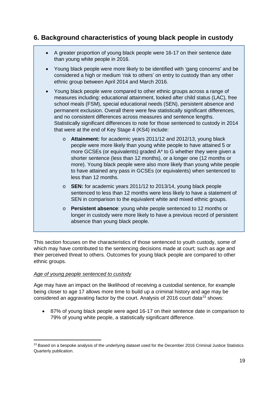## <span id="page-18-0"></span>**6. Background characteristics of young black people in custody**

- A greater proportion of young black people were 16-17 on their sentence date than young white people in 2016.
- Young black people were more likely to be identified with 'gang concerns' and be considered a high or medium 'risk to others' on entry to custody than any other ethnic group between April 2014 and March 2016.
- Young black people were compared to other ethnic groups across a range of measures including: educational attainment, looked after child status (LAC), free school meals (FSM), special educational needs (SEN), persistent absence and permanent exclusion. Overall there were few statistically significant differences, and no consistent differences across measures and sentence lengths. Statistically significant differences to note for those sentenced to custody in 2014 that were at the end of Key Stage 4 (KS4) include:
	- o **Attainment:** for academic years 2011/12 and 2012/13, young black people were more likely than young white people to have attained 5 or more GCSEs (or equivalents) graded A\* to G whether they were given a shorter sentence (less than 12 months), or a longer one (12 months or more). Young black people were also more likely than young white people to have attained any pass in GCSEs (or equivalents) when sentenced to less than 12 months.
	- o **SEN:** for academic years 2011/12 to 2013/14, young black people sentenced to less than 12 months were less likely to have a statement of SEN in comparison to the equivalent white and mixed ethnic groups.
	- o **Persistent absence**: young white people sentenced to 12 months or longer in custody were more likely to have a previous record of persistent absence than young black people.

This section focuses on the characteristics of those sentenced to youth custody, some of which may have contributed to the sentencing decisions made at court; such as age and their perceived threat to others. Outcomes for young black people are compared to other ethnic groups.

## *Age of young people sentenced to custody*

Age may have an impact on the likelihood of receiving a custodial sentence, for example being closer to age 17 allows more time to build up a criminal history and age may be considered an aggravating factor by the court. Analysis of 2016 court data<sup>[23](#page-18-1)</sup> shows:

• 87% of young black people were aged 16-17 on their sentence date in comparison to 79% of young white people, a statistically significant difference.

<span id="page-18-1"></span><sup>&</sup>lt;sup>23</sup> Based on a bespoke analysis of the underlying dataset used for the December 2016 Criminal Justice Statistics Quarterly publication.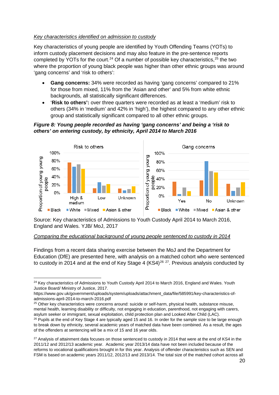#### *Key characteristics identified on admission to custody*

Key characteristics of young people are identified by Youth Offending Teams (YOTs) to inform custody placement decisions and may also feature in the pre-sentence reports completed by YOTs for the court.<sup>[24](#page-19-0)</sup> Of a number of possible key characteristics,  $25$  the two where the proportion of young black people was higher than other ethnic groups was around 'gang concerns' and 'risk to others':

- **Gang concerns:** 34% were recorded as having 'gang concerns' compared to 21% for those from mixed, 11% from the 'Asian and other' and 5% from white ethnic backgrounds, all statistically significant differences.
- '**Risk to others':** over three quarters were recorded as at least a 'medium' risk to others (34% in 'medium' and 42% in 'high'), the highest compared to any other ethnic group and statistically significant compared to all other ethnic groups.

#### *Figure 8: Young people recorded as having 'gang concerns' and being a 'risk to others' on entering custody, by ethnicity, April 2014 to March 2016*



Source: Key characteristics of Admissions to Youth Custody April 2014 to March 2016, England and Wales. YJB/ MoJ, 2017

#### *Comparing the educational background of young people sentenced to custody in 2014*

Findings from a recent data sharing exercise between the MoJ and the Department for Education (DfE) are presented here, with analysis on a matched cohort who were sentenced to custody in 2014 and at the end of Key Stage 4 (KS4)<sup>[26](#page-19-2) [27](#page-19-3)</sup>. Previous analysis conducted by

<span id="page-19-1"></span><sup>25</sup> Other key characteristics were concerns around: suicide or self-harm, physical health, substance misuse, mental health, learning disability or difficulty, not engaging in education, parenthood, not engaging with carers,

<span id="page-19-0"></span>**<sup>.</sup>** <sup>24</sup> Key characteristics of Admissions to Youth Custody April 2014 to March 2016, England and Wales. Youth Justice Board/ Ministry of Justice, 2017.

https://www.gov.uk/government/uploads/system/uploads/attachment\_data/file/585991/key-characteristics-ofadmissions-april-2014-to-march-2016.pdf

<span id="page-19-2"></span>asylum seeker or immigrant, sexual exploitation, child protection plan and Looked After Child (LAC).<br><sup>26</sup> Pupils at the end of Key Stage 4 are typically aged 15 and 16. In order for the sample size to be large enough to break down by ethnicity, several academic years of matched data have been combined. As a result, the ages of the offenders at sentencing will be a mix of 15 and 16 year olds.

<span id="page-19-3"></span> $27$  Analysis of attainment data focuses on those sentenced to custody in 2014 that were at the end of KS4 in the 2011/12 and 2012/13 academic year. Academic year 2013/14 data have not been included because of the reforms to vocational qualifications brought in for this year. Analysis of offender characteristics such as SEN and FSM is based on academic years 2011/12, 2012/13 and 2013/14. The total size of the matched cohort across all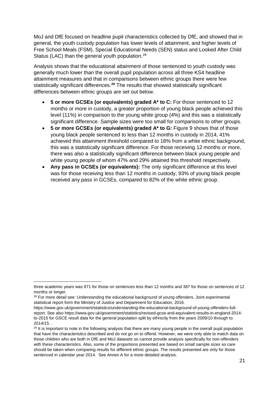MoJ and DfE focused on headline pupil characteristics collected by DfE, and showed that in general, the youth custody population has lower levels of attainment, and higher levels of Free School Meals (FSM), Special Educational Needs (SEN) status and Looked After Child Status (LAC) than the general youth population.<sup>[28](#page-20-0)</sup>

Analysis shows that the educational attainment of those sentenced to youth custody was generally much lower than the overall pupil population across all three KS4 headline attainment measures and that in comparisons between ethnic groups there were few statistically significant differences. **[29](#page-20-1)** The results that showed statistically significant differences between ethnic groups are set out below.

- **5 or more GCSEs (or equivalents) graded A\* to C:** For those sentenced to 12 months or more in custody, a greater proportion of young black people achieved this level (11%) in comparison to the young white group (4%) and this was a statistically significant difference. Sample sizes were too small for comparisons to other groups.
- 5 or more GCSEs (or equivalents) graded A<sup>\*</sup> to G: Figure 9 shows that of those young black people sentenced to less than 12 months in custody in 2014, 41% achieved this attainment threshold compared to 18% from a white ethnic background, this was a statistically significant difference. For those receiving 12 months or more, there was also a statistically significant difference between black young people and white young people of whom 47% and 29% attained this threshold respectively.
- **Any pass in GCSEs (or equivalents):** The only significant difference at this level was for those receiving less than 12 months in custody; 93% of young black people received any pass in GCSEs, compared to 82% of the white ethnic group.

 $\overline{a}$ 

three academic years was 871 for those on sentences less than 12 months and 387 for those on sentences of 12 months or longer.

<span id="page-20-0"></span><sup>&</sup>lt;sup>28</sup> For more detail see: Understanding the educational background of young offenders. Joint experimental statistical report form the Ministry of Justice and Department for Education, 2016.

https://www.gov.uk/government/statistics/understanding-the-educational-background-of-young-offenders-fullreport. See also [https://www.gov.uk/government/statistics/revised-gcse-and-equivalent-results-in-england-2014](https://www.gov.uk/government/statistics/revised-gcse-and-equivalent-results-in-england-2014-to-2015) [to-2015](https://www.gov.uk/government/statistics/revised-gcse-and-equivalent-results-in-england-2014-to-2015) for GSCE result data for the general population split by ethnicity from the years 2009/10 through to 2014/15. .

<span id="page-20-1"></span><sup>&</sup>lt;sup>29</sup> It is important to note in the following analysis that there are many young people in the overall pupil population that have the characteristics described and do not go on to offend. However, we were only able to match data on those children who are both in DfE and MoJ datasets so cannot provide analysis specifically for non-offenders with these characteristics. Also, some of the proportions presented are based on small sample sizes so care should be taken when comparing results for different ethnic groups. The results presented are only for those sentenced in calendar year 2014. See Annex A for a more detailed analysis.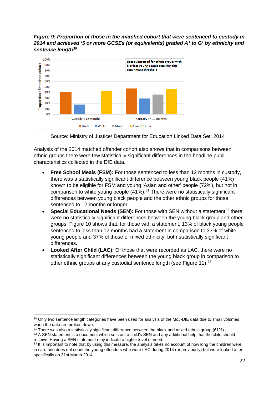### *Figure 9: Proportion of those in the matched cohort that were sentenced to custody in 2014 and achieved '5 or more GCSEs (or equivalents) graded A\* to G' by ethnicity and sentence length[30](#page-21-0)*



Source: Ministry of Justice/ Department for Education Linked Data Set: 2014

Analysis of the 2014 matched offender cohort also shows that in comparisons between ethnic groups there were few statistically significant differences in the headline pupil characteristics collected in the DfE data.

- **Free School Meals (FSM):** For those sentenced to less than 12 months in custody, there was a statistically significant difference between young black people (41%) known to be eligible for FSM and young 'Asian and other' people (72%), but not in comparison to white young people (41%). [31](#page-21-1) There were no statistically significant differences between young black people and the other ethnic groups for those sentenced to 12 months or longer.
- **Special Educational Needs (SEN):** For those with SEN without a statement<sup>[32](#page-21-2)</sup> there were no statistically significant differences between the young black group and other groups. Figure 10 shows that, for those with a statement, 13% of black young people sentenced to less than 12 months had a statement in comparison to 33% of white young people and 37% of those of mixed ethnicity, both statistically significant differences.
- **Looked After Child (LAC):** Of those that were recorded as LAC, there were no statistically significant differences between the young black group in comparison to other ethnic groups at any custodial sentence length (see Figure 11).<sup>[33](#page-21-3)</sup>

**<sup>.</sup>** <sup>30</sup> Only two sentence length categories have been used for analysis of the MoJ-DfE data due to small volumes

<span id="page-21-1"></span><span id="page-21-0"></span>when the data are broken down.<br><sup>31</sup> There was also a statistically significant difference between the black and mixed ethnic group (61%).<br><sup>32</sup> A SEN statement is a document which sets out a child's SEN and any additional h

<span id="page-21-3"></span><span id="page-21-2"></span>receive. Having a SEN statement may indicate a higher level of need.<br><sup>33</sup> It is important to note that by using this measure, the analysis takes no account of how long the children were in care and does not count the young offenders who were LAC during 2014 (or previously) but were looked after specifically on 31st March 2014.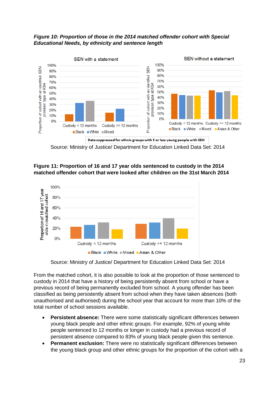## *Figure 10: Proportion of those in the 2014 matched offender cohort with Special Educational Needs, by ethnicity and sentence length*



Source: Ministry of Justice/ Department for Education Linked Data Set: 2014

## **Figure 11: Proportion of 16 and 17 year olds sentenced to custody in the 2014 matched offender cohort that were looked after children on the 31st March 2014**



Source: Ministry of Justice/ Department for Education Linked Data Set: 2014

From the matched cohort, it is also possible to look at the proportion of those sentenced to custody in 2014 that have a history of being persistently absent from school or have a previous record of being permanently excluded from school. A young offender has been classified as being persistently absent from school when they have taken absences (both unauthorised and authorised) during the school year that account for more than 10% of the total number of school sessions available.

- **Persistent absence:** There were some statistically significant differences between young black people and other ethnic groups. For example, 92% of young white people sentenced to 12 months or longer in custody had a previous record of persistent absence compared to 83% of young black people given this sentence.
- **Permanent exclusion:** There were no statistically significant differences between the young black group and other ethnic groups for the proportion of the cohort with a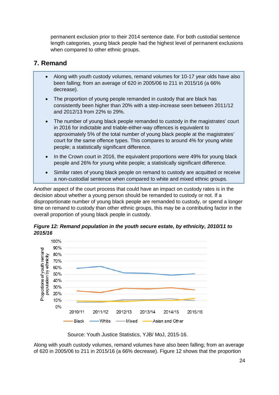permanent exclusion prior to their 2014 sentence date. For both custodial sentence length categories, young black people had the highest level of permanent exclusions when compared to other ethnic groups.

## <span id="page-23-0"></span>**7. Remand**

- Along with youth custody volumes, remand volumes for 10-17 year olds have also been falling; from an average of 620 in 2005/06 to 211 in 2015/16 (a 66% decrease).
- The proportion of young people remanded in custody that are black has consistently been higher than 20% with a step-increase seen between 2011/12 and 2012/13 from 22% to 29%.
- The number of young black people remanded to custody in the magistrates' court in 2016 for indictable and triable-either-way offences is equivalent to approximately 5% of the total number of young black people at the magistrates' court for the same offence types. This compares to around 4% for young white people; a statistically significant difference.
- In the Crown court in 2016, the equivalent proportions were 49% for young black people and 26% for young white people; a statistically significant difference.
- Similar rates of young black people on remand to custody are acquitted or receive a non-custodial sentence when compared to white and mixed ethnic groups.

Another aspect of the court process that could have an impact on custody rates is in the decision about whether a young person should be remanded to custody or not. If a disproportionate number of young black people are remanded to custody, or spend a longer time on remand to custody than other ethnic groups, this may be a contributing factor in the overall proportion of young black people in custody.





Source: Youth Justice Statistics, YJB/ MoJ, 2015-16.

Along with youth custody volumes, remand volumes have also been falling; from an average of 620 in 2005/06 to 211 in 2015/16 (a 66% decrease). Figure 12 shows that the proportion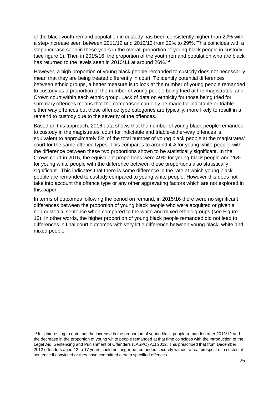of the black youth remand population in custody has been consistently higher than 20% with a step-increase seen between 2011/12 and 2012/13 from 22% to 29%. This coincides with a step-increase seen in these years in the overall proportion of young black people in custody (see figure 1). Then in 2015/16, the proportion of the youth remand population who are black has returned to the levels seen in 2010/11 at around 26%.<sup>[34](#page-24-0)</sup>

However, a high proportion of young black people remanded to custody does not necessarily mean that they are being treated differently in court. To identify potential differences between ethnic groups, a better measure is to look at the number of young people remanded to custody as a proportion of the number of young people being tried at the magistrates' and Crown court within each ethnic group. Lack of data on ethnicity for those being tried for summary offences means that the comparison can only be made for indictable or triable either way offences but these offence type categories are typically, more likely to result in a remand to custody due to the severity of the offences.

Based on this approach, 2016 data shows that the number of young black people remanded to custody in the magistrates' court for indictable and triable-either-way offences is equivalent to approximately 5% of the total number of young black people at the magistrates' court for the same offence types. This compares to around 4% for young white people, with the difference between these two proportions shown to be statistically significant. In the Crown court in 2016, the equivalent proportions were 49% for young black people and 26% for young white people with the difference between these proportions also statistically significant. This indicates that there is some difference in the rate at which young black people are remanded to custody compared to young white people. However this does not take into account the offence type or any other aggravating factors which are not explored in this paper.

In terms of outcomes following the period on remand, in 2015/16 there were no significant differences between the proportion of young black people who were acquitted or given a non-custodial sentence when compared to the white and mixed ethnic groups (see Figure 13). In other words, the higher proportion of young black people remanded did not lead to differences in final court outcomes with very little difference between young black, white and mixed people.

 $\overline{a}$ 

<span id="page-24-0"></span><sup>&</sup>lt;sup>34</sup> It is interesting to note that the increase in the proportion of young black people remanded after 2011/12 and the decrease in the proportion of young white people remanded at that time coincides with the introduction of the Legal Aid, Sentencing and Punishment of Offenders (LASPO) Act 2012. This prescribed that from December 2012 offenders aged 12 to 17 years could no longer be remanded securely without a real prospect of a custodial sentence if convicted or they have committed certain specified offences.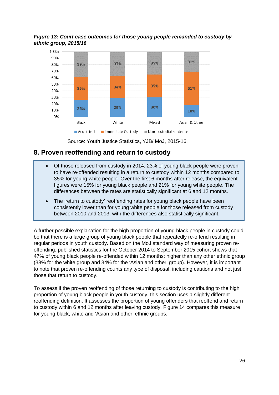*Figure 13: Court case outcomes for those young people remanded to custody by ethnic group, 2015/16*



Source: Youth Justice Statistics, YJB/ MoJ, 2015-16.

## <span id="page-25-0"></span>**8. Proven reoffending and return to custody**

- Of those released from custody in 2014, 23% of young black people were proven to have re-offended resulting in a return to custody within 12 months compared to 35% for young white people. Over the first 6 months after release, the equivalent figures were 15% for young black people and 21% for young white people. The differences between the rates are statistically significant at 6 and 12 months.
- The 'return to custody' reoffending rates for young black people have been consistently lower than for young white people for those released from custody between 2010 and 2013, with the differences also statistically significant.

A further possible explanation for the high proportion of young black people in custody could be that there is a large group of young black people that repeatedly re-offend resulting in regular periods in youth custody. Based on the MoJ standard way of measuring proven reoffending, published statistics for the October 2014 to September 2015 cohort shows that 47% of young black people re-offended within 12 months; higher than any other ethnic group (38% for the white group and 34% for the 'Asian and other' group). However, it is important to note that proven re-offending counts any type of disposal, including cautions and not just those that return to custody.

To assess if the proven reoffending of those returning to custody is contributing to the high proportion of young black people in youth custody, this section uses a slightly different reoffending definition. It assesses the proportion of young offenders that reoffend and return to custody within 6 and 12 months after leaving custody. Figure 14 compares this measure for young black, white and 'Asian and other' ethnic groups.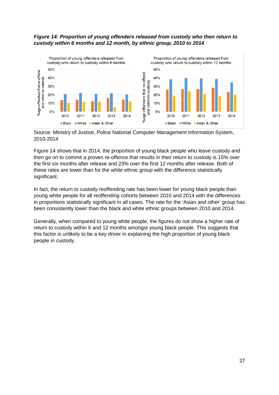#### *Figure 14: Proportion of young offenders released from custody who then return to custody within 6 months and 12 month, by ethnic group, 2010 to 2014*



Source: Ministry of Justice, Police National Computer Management Information System, 2010-2014

Figure 14 shows that in 2014, the proportion of young black people who leave custody and then go on to commit a proven re-offence that results in their return to custody is 15% over the first six months after release and 23% over the first 12 months after release. Both of these rates are lower than for the white ethnic group with the difference statistically significant.

In fact, the return to custody reoffending rate has been lower for young black people than young white people for all reoffending cohorts between 2010 and 2014 with the differences in proportions statistically significant in all cases. The rate for the 'Asian and other' group has been consistently lower than the black and white ethnic groups between 2010 and 2014.

Generally, when compared to young white people, the figures do not show a higher rate of return to custody within 6 and 12 months amongst young black people. This suggests that this factor is unlikely to be a key driver in explaining the high proportion of young black people in custody.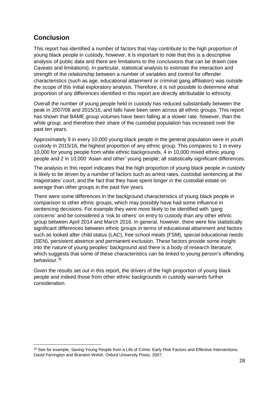# <span id="page-27-0"></span>**Conclusion**

**.** 

This report has identified a number of factors that may contribute to the high proportion of young black people in custody, however, it is important to note that this is a descriptive analysis of public data and there are limitations to the conclusions that can be drawn (see Caveats and limitations). In particular, statistical analysis to estimate the interaction and strength of the relationship between a number of variables and control for offender characteristics (such as age, educational attainment or criminal gang affiliation) was outside the scope of this initial exploratory analysis. Therefore, it is not possible to determine what proportion of any differences identified in this report are directly attributable to ethnicity.

Overall the number of young people held in custody has reduced substantially between the peak in 2007/08 and 2015/16, and falls have been seen across all ethnic groups. This report has shown that BAME group volumes have been falling at a slower rate, however, than the white group, and therefore their share of the custodial population has increased over the past ten years.

Approximately 9 in every 10,000 young black people in the general population were in youth custody in 2015/16, the highest proportion of any ethnic group. This compares to 1 in every 10,000 for young people from white ethnic backgrounds, 4 in 10,000 mixed ethnic young people and 2 in 10,000 'Asian and other' young people; all statistically significant differences.

The analysis in this report indicates that the high proportion of young black people in custody is likely to be driven by a number of factors such as arrest rates, custodial sentencing at the magistrates' court, and the fact that they have spent longer in the custodial estate on average than other groups in the past five years.

There were some differences in the background characteristics of young black people in comparison to other ethnic groups, which may possibly have had some influence in sentencing decisions. For example they were more likely to be identified with 'gang concerns' and be considered a 'risk to others' on entry to custody than any other ethnic group between April 2014 and March 2016. In general, however, there were few statistically significant differences between ethnic groups in terms of educational attainment and factors such as looked after child status (LAC), free school meals (FSM), special educational needs (SEN), persistent absence and permanent exclusion. These factors provide some insight into the nature of young peoples' background and there is a body of research literature, which suggests that some of these characteristics can be linked to young person's offending behaviour.[35](#page-27-1)

Given the results set out in this report, the drivers of the high proportion of young black people and indeed those from other ethnic backgrounds in custody warrants further consideration.

<span id="page-27-1"></span><sup>35</sup> See for example, Saving Young People from a Life of Crime: Early Risk Factors and Effective Interventions. David Farrington and Brandon Welsh, Oxford University Press, 2007.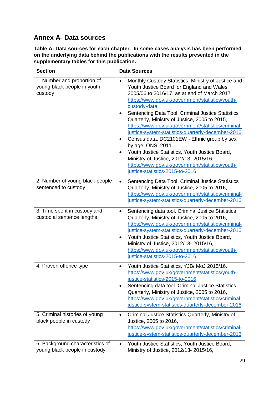# <span id="page-28-0"></span>**Annex A- Data sources**

**Table A: Data sources for each chapter. In some cases analysis has been performed on the underlying data behind the publications with the results presented in the supplementary tables for this publication.**

| <b>Section</b>                                                        | <b>Data Sources</b>                                                                                                                                                                                                                                                                                                                                                                                                                                                                                                                                                                                                                                                                                      |
|-----------------------------------------------------------------------|----------------------------------------------------------------------------------------------------------------------------------------------------------------------------------------------------------------------------------------------------------------------------------------------------------------------------------------------------------------------------------------------------------------------------------------------------------------------------------------------------------------------------------------------------------------------------------------------------------------------------------------------------------------------------------------------------------|
| 1: Number and proportion of<br>young black people in youth<br>custody | Monthly Custody Statistics, Ministry of Justice and<br>$\bullet$<br>Youth Justice Board for England and Wales,<br>2005/06 to 2016/17, as at end of March 2017<br>https://www.gov.uk/government/statistics/youth-<br>custody-data<br>Sentencing Data Tool: Criminal Justice Statistics<br>Quarterly, Ministry of Justice, 2005 to 2015,<br>https://www.gov.uk/government/statistics/criminal-<br>justice-system-statistics-quarterly-december-2016<br>Census data, DC2101EW - Ethnic group by sex<br>by age, ONS, 2011.<br>Youth Justice Statistics, Youth Justice Board,<br>Ministry of Justice, 2012/13- 2015/16,<br>https://www.gov.uk/government/statistics/youth-<br>justice-statistics-2015-to-2016 |
| 2. Number of young black people<br>sentenced to custody               | Sentencing Data Tool: Criminal Justice Statistics<br>$\bullet$<br>Quarterly, Ministry of Justice, 2005 to 2016,<br>https://www.gov.uk/government/statistics/criminal-<br>justice-system-statistics-quarterly-december-2016                                                                                                                                                                                                                                                                                                                                                                                                                                                                               |
| 3. Time spent in custody and<br>custodial sentence lengths            | Sentencing data tool. Criminal Justice Statistics<br>$\bullet$<br>Quarterly, Ministry of Justice, 2005 to 2016,<br>https://www.gov.uk/government/statistics/criminal-<br>justice-system-statistics-quarterly-december-2016<br>Youth Justice Statistics, Youth Justice Board,<br>Ministry of Justice, 2012/13- 2015/16,<br>https://www.gov.uk/government/statistics/youth-<br>justice-statistics-2015-to-2016                                                                                                                                                                                                                                                                                             |
| 4. Proven offence type                                                | Youth Justice Statistics, YJB/ MoJ 2015/16.<br>$\bullet$<br>https://www.gov.uk/government/statistics/youth-<br>justice-statistics-2015-to-2016<br>Sentencing data tool. Criminal Justice Statistics<br>$\bullet$<br>Quarterly, Ministry of Justice, 2005 to 2016,<br>https://www.gov.uk/government/statistics/criminal-<br>justice-system-statistics-quarterly-december-2016                                                                                                                                                                                                                                                                                                                             |
| 5. Criminal histories of young<br>black people in custody             | Criminal Justice Statistics Quarterly, Ministry of<br>$\bullet$<br>Justice, 2005 to 2016,<br>https://www.gov.uk/government/statistics/criminal-<br>justice-system-statistics-quarterly-december-2016                                                                                                                                                                                                                                                                                                                                                                                                                                                                                                     |
| 6. Background characteristics of<br>young black people in custody     | Youth Justice Statistics, Youth Justice Board,<br>$\bullet$<br>Ministry of Justice, 2012/13- 2015/16,                                                                                                                                                                                                                                                                                                                                                                                                                                                                                                                                                                                                    |